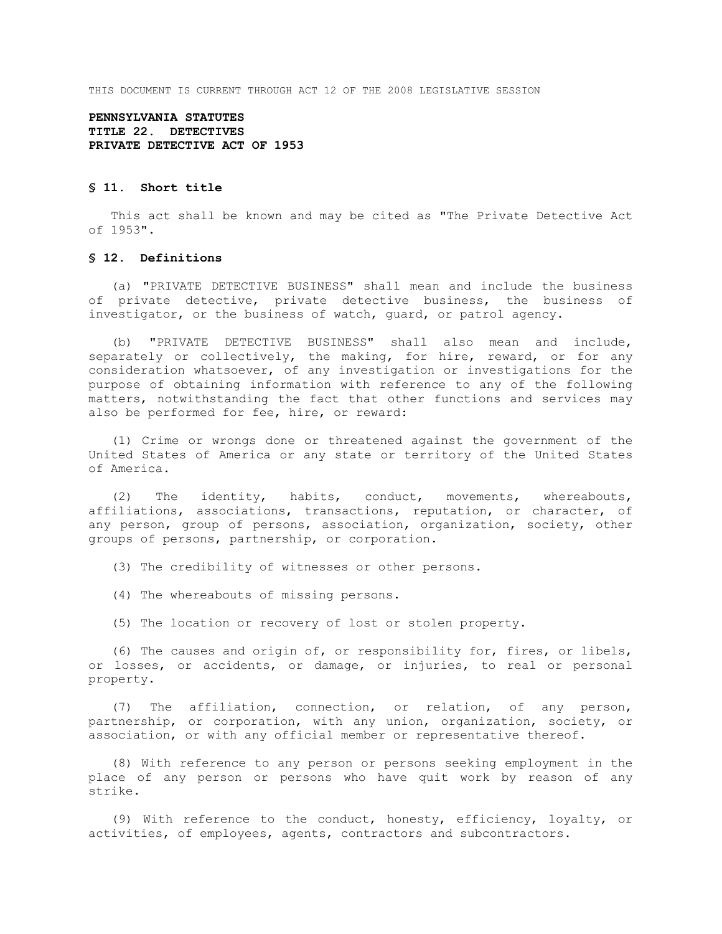THIS DOCUMENT IS CURRENT THROUGH ACT 12 OF THE 2008 LEGISLATIVE SESSION

**PENNSYLVANIA STATUTES TITLE 22. DETECTIVES PRIVATE DETECTIVE ACT OF 1953** 

# **§ 11. Short title**

 This act shall be known and may be cited as "The Private Detective Act of 1953".

## **§ 12. Definitions**

 (a) "PRIVATE DETECTIVE BUSINESS" shall mean and include the business of private detective, private detective business, the business of investigator, or the business of watch, guard, or patrol agency.

 (b) "PRIVATE DETECTIVE BUSINESS" shall also mean and include, separately or collectively, the making, for hire, reward, or for any consideration whatsoever, of any investigation or investigations for the purpose of obtaining information with reference to any of the following matters, notwithstanding the fact that other functions and services may also be performed for fee, hire, or reward:

 (1) Crime or wrongs done or threatened against the government of the United States of America or any state or territory of the United States of America.

 (2) The identity, habits, conduct, movements, whereabouts, affiliations, associations, transactions, reputation, or character, of any person, group of persons, association, organization, society, other groups of persons, partnership, or corporation.

(3) The credibility of witnesses or other persons.

- (4) The whereabouts of missing persons.
- (5) The location or recovery of lost or stolen property.

 (6) The causes and origin of, or responsibility for, fires, or libels, or losses, or accidents, or damage, or injuries, to real or personal property.

 (7) The affiliation, connection, or relation, of any person, partnership, or corporation, with any union, organization, society, or association, or with any official member or representative thereof.

 (8) With reference to any person or persons seeking employment in the place of any person or persons who have quit work by reason of any strike.

 (9) With reference to the conduct, honesty, efficiency, loyalty, or activities, of employees, agents, contractors and subcontractors.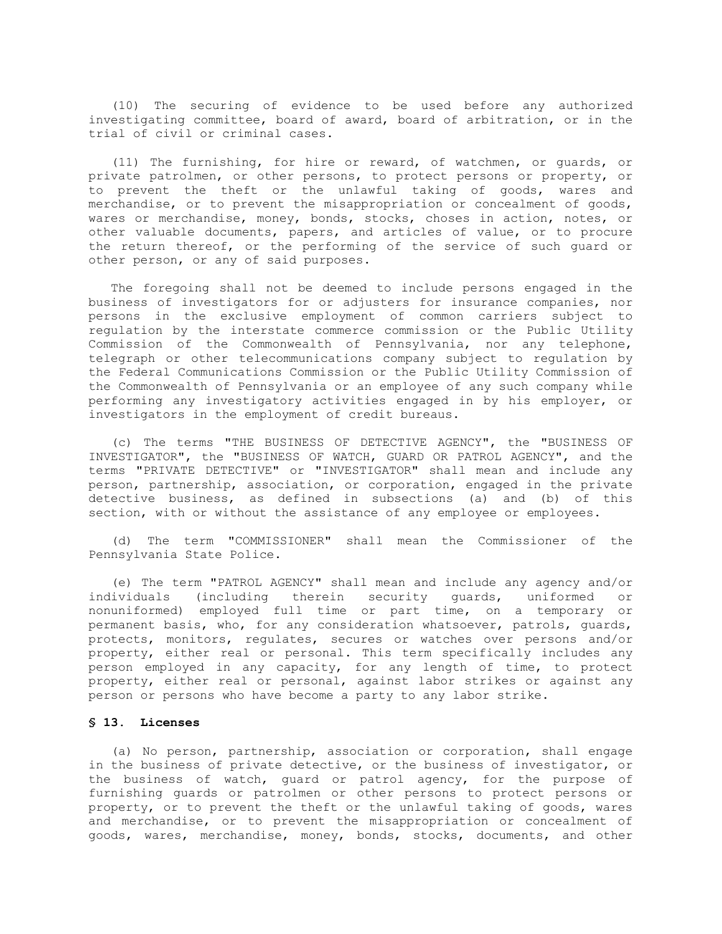(10) The securing of evidence to be used before any authorized investigating committee, board of award, board of arbitration, or in the trial of civil or criminal cases.

 (11) The furnishing, for hire or reward, of watchmen, or guards, or private patrolmen, or other persons, to protect persons or property, or to prevent the theft or the unlawful taking of goods, wares and merchandise, or to prevent the misappropriation or concealment of goods, wares or merchandise, money, bonds, stocks, choses in action, notes, or other valuable documents, papers, and articles of value, or to procure the return thereof, or the performing of the service of such guard or other person, or any of said purposes.

 The foregoing shall not be deemed to include persons engaged in the business of investigators for or adjusters for insurance companies, nor persons in the exclusive employment of common carriers subject to regulation by the interstate commerce commission or the Public Utility Commission of the Commonwealth of Pennsylvania, nor any telephone, telegraph or other telecommunications company subject to regulation by the Federal Communications Commission or the Public Utility Commission of the Commonwealth of Pennsylvania or an employee of any such company while performing any investigatory activities engaged in by his employer, or investigators in the employment of credit bureaus.

 (c) The terms "THE BUSINESS OF DETECTIVE AGENCY", the "BUSINESS OF INVESTIGATOR", the "BUSINESS OF WATCH, GUARD OR PATROL AGENCY", and the terms "PRIVATE DETECTIVE" or "INVESTIGATOR" shall mean and include any person, partnership, association, or corporation, engaged in the private detective business, as defined in subsections (a) and (b) of this section, with or without the assistance of any employee or employees.

 (d) The term "COMMISSIONER" shall mean the Commissioner of the Pennsylvania State Police.

 (e) The term "PATROL AGENCY" shall mean and include any agency and/or individuals (including therein security guards, uniformed or nonuniformed) employed full time or part time, on a temporary or permanent basis, who, for any consideration whatsoever, patrols, guards, protects, monitors, regulates, secures or watches over persons and/or property, either real or personal. This term specifically includes any person employed in any capacity, for any length of time, to protect property, either real or personal, against labor strikes or against any person or persons who have become a party to any labor strike.

# **§ 13. Licenses**

 (a) No person, partnership, association or corporation, shall engage in the business of private detective, or the business of investigator, or the business of watch, guard or patrol agency, for the purpose of furnishing guards or patrolmen or other persons to protect persons or property, or to prevent the theft or the unlawful taking of goods, wares and merchandise, or to prevent the misappropriation or concealment of goods, wares, merchandise, money, bonds, stocks, documents, and other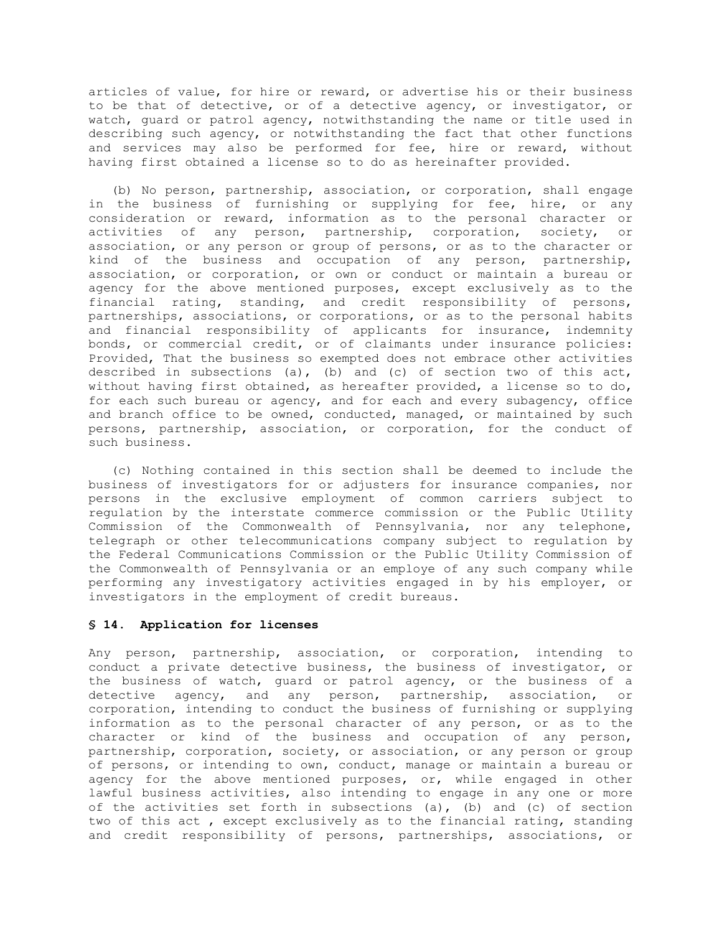articles of value, for hire or reward, or advertise his or their business to be that of detective, or of a detective agency, or investigator, or watch, guard or patrol agency, notwithstanding the name or title used in describing such agency, or notwithstanding the fact that other functions and services may also be performed for fee, hire or reward, without having first obtained a license so to do as hereinafter provided.

 (b) No person, partnership, association, or corporation, shall engage in the business of furnishing or supplying for fee, hire, or any consideration or reward, information as to the personal character or activities of any person, partnership, corporation, society, or association, or any person or group of persons, or as to the character or kind of the business and occupation of any person, partnership, association, or corporation, or own or conduct or maintain a bureau or agency for the above mentioned purposes, except exclusively as to the financial rating, standing, and credit responsibility of persons, partnerships, associations, or corporations, or as to the personal habits and financial responsibility of applicants for insurance, indemnity bonds, or commercial credit, or of claimants under insurance policies: Provided, That the business so exempted does not embrace other activities described in subsections (a), (b) and (c) of section two of this act, without having first obtained, as hereafter provided, a license so to do, for each such bureau or agency, and for each and every subagency, office and branch office to be owned, conducted, managed, or maintained by such persons, partnership, association, or corporation, for the conduct of such business.

 (c) Nothing contained in this section shall be deemed to include the business of investigators for or adjusters for insurance companies, nor persons in the exclusive employment of common carriers subject to regulation by the interstate commerce commission or the Public Utility Commission of the Commonwealth of Pennsylvania, nor any telephone, telegraph or other telecommunications company subject to regulation by the Federal Communications Commission or the Public Utility Commission of the Commonwealth of Pennsylvania or an employe of any such company while performing any investigatory activities engaged in by his employer, or investigators in the employment of credit bureaus.

# **§ 14. Application for licenses**

Any person, partnership, association, or corporation, intending to conduct a private detective business, the business of investigator, or the business of watch, guard or patrol agency, or the business of a detective agency, and any person, partnership, association, or corporation, intending to conduct the business of furnishing or supplying information as to the personal character of any person, or as to the character or kind of the business and occupation of any person, partnership, corporation, society, or association, or any person or group of persons, or intending to own, conduct, manage or maintain a bureau or agency for the above mentioned purposes, or, while engaged in other lawful business activities, also intending to engage in any one or more of the activities set forth in subsections (a), (b) and (c) of section two of this act , except exclusively as to the financial rating, standing and credit responsibility of persons, partnerships, associations, or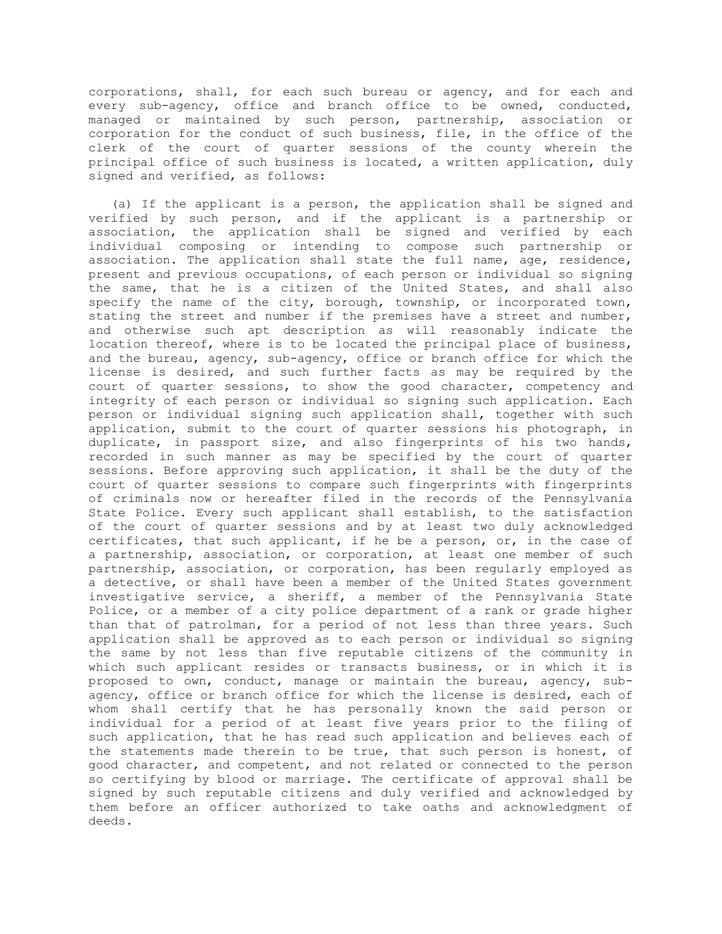corporations, shall, for each such bureau or agency, and for each and every sub-agency, office and branch office to be owned, conducted, managed or maintained by such person, partnership, association or corporation for the conduct of such business, file, in the office of the clerk of the court of quarter sessions of the county wherein the principal office of such business is located, a written application, duly signed and verified, as follows:

 (a) If the applicant is a person, the application shall be signed and verified by such person, and if the applicant is a partnership or association, the application shall be signed and verified by each individual composing or intending to compose such partnership or association. The application shall state the full name, age, residence, present and previous occupations, of each person or individual so signing the same, that he is a citizen of the United States, and shall also specify the name of the city, borough, township, or incorporated town, stating the street and number if the premises have a street and number, and otherwise such apt description as will reasonably indicate the location thereof, where is to be located the principal place of business, and the bureau, agency, sub-agency, office or branch office for which the license is desired, and such further facts as may be required by the court of quarter sessions, to show the good character, competency and integrity of each person or individual so signing such application. Each person or individual signing such application shall, together with such application, submit to the court of quarter sessions his photograph, in duplicate, in passport size, and also fingerprints of his two hands, recorded in such manner as may be specified by the court of quarter sessions. Before approving such application, it shall be the duty of the court of quarter sessions to compare such fingerprints with fingerprints of criminals now or hereafter filed in the records of the Pennsylvania State Police. Every such applicant shall establish, to the satisfaction of the court of quarter sessions and by at least two duly acknowledged certificates, that such applicant, if he be a person, or, in the case of a partnership, association, or corporation, at least one member of such partnership, association, or corporation, has been regularly employed as a detective, or shall have been a member of the United States government investigative service, a sheriff, a member of the Pennsylvania State Police, or a member of a city police department of a rank or grade higher than that of patrolman, for a period of not less than three years. Such application shall be approved as to each person or individual so signing the same by not less than five reputable citizens of the community in which such applicant resides or transacts business, or in which it is proposed to own, conduct, manage or maintain the bureau, agency, subagency, office or branch office for which the license is desired, each of whom shall certify that he has personally known the said person or individual for a period of at least five years prior to the filing of such application, that he has read such application and believes each of the statements made therein to be true, that such person is honest, of good character, and competent, and not related or connected to the person so certifying by blood or marriage. The certificate of approval shall be signed by such reputable citizens and duly verified and acknowledged by them before an officer authorized to take oaths and acknowledgment of deeds.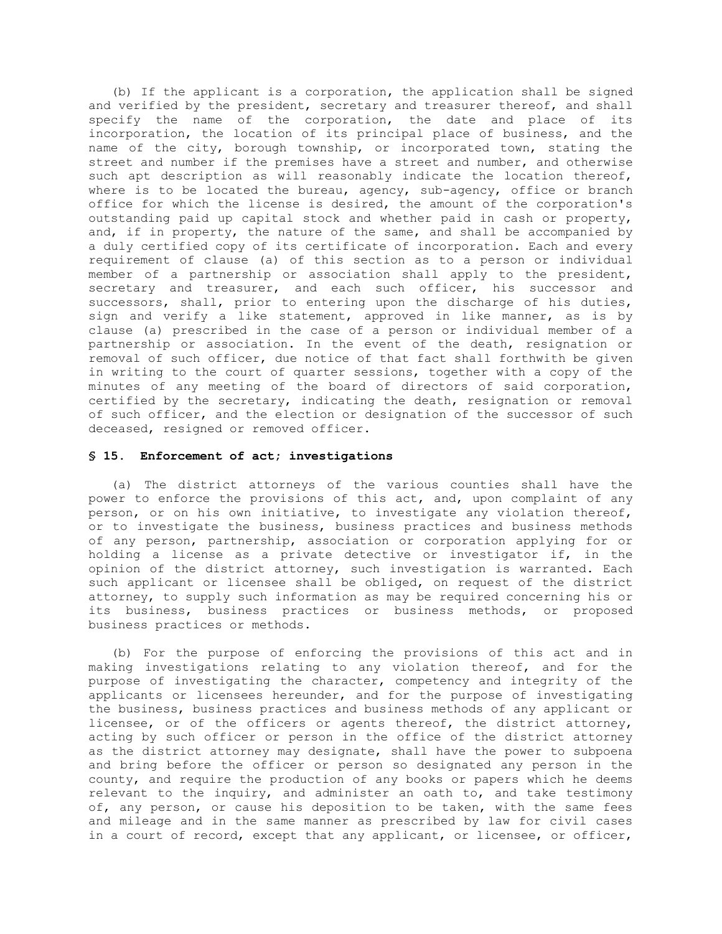(b) If the applicant is a corporation, the application shall be signed and verified by the president, secretary and treasurer thereof, and shall specify the name of the corporation, the date and place of its incorporation, the location of its principal place of business, and the name of the city, borough township, or incorporated town, stating the street and number if the premises have a street and number, and otherwise such apt description as will reasonably indicate the location thereof, where is to be located the bureau, agency, sub-agency, office or branch office for which the license is desired, the amount of the corporation's outstanding paid up capital stock and whether paid in cash or property, and, if in property, the nature of the same, and shall be accompanied by a duly certified copy of its certificate of incorporation. Each and every requirement of clause (a) of this section as to a person or individual member of a partnership or association shall apply to the president, secretary and treasurer, and each such officer, his successor and successors, shall, prior to entering upon the discharge of his duties, sign and verify a like statement, approved in like manner, as is by clause (a) prescribed in the case of a person or individual member of a partnership or association. In the event of the death, resignation or removal of such officer, due notice of that fact shall forthwith be given in writing to the court of quarter sessions, together with a copy of the minutes of any meeting of the board of directors of said corporation, certified by the secretary, indicating the death, resignation or removal of such officer, and the election or designation of the successor of such deceased, resigned or removed officer.

#### **§ 15. Enforcement of act; investigations**

 (a) The district attorneys of the various counties shall have the power to enforce the provisions of this act, and, upon complaint of any person, or on his own initiative, to investigate any violation thereof, or to investigate the business, business practices and business methods of any person, partnership, association or corporation applying for or holding a license as a private detective or investigator if, in the opinion of the district attorney, such investigation is warranted. Each such applicant or licensee shall be obliged, on request of the district attorney, to supply such information as may be required concerning his or its business, business practices or business methods, or proposed business practices or methods.

 (b) For the purpose of enforcing the provisions of this act and in making investigations relating to any violation thereof, and for the purpose of investigating the character, competency and integrity of the applicants or licensees hereunder, and for the purpose of investigating the business, business practices and business methods of any applicant or licensee, or of the officers or agents thereof, the district attorney, acting by such officer or person in the office of the district attorney as the district attorney may designate, shall have the power to subpoena and bring before the officer or person so designated any person in the county, and require the production of any books or papers which he deems relevant to the inquiry, and administer an oath to, and take testimony of, any person, or cause his deposition to be taken, with the same fees and mileage and in the same manner as prescribed by law for civil cases in a court of record, except that any applicant, or licensee, or officer,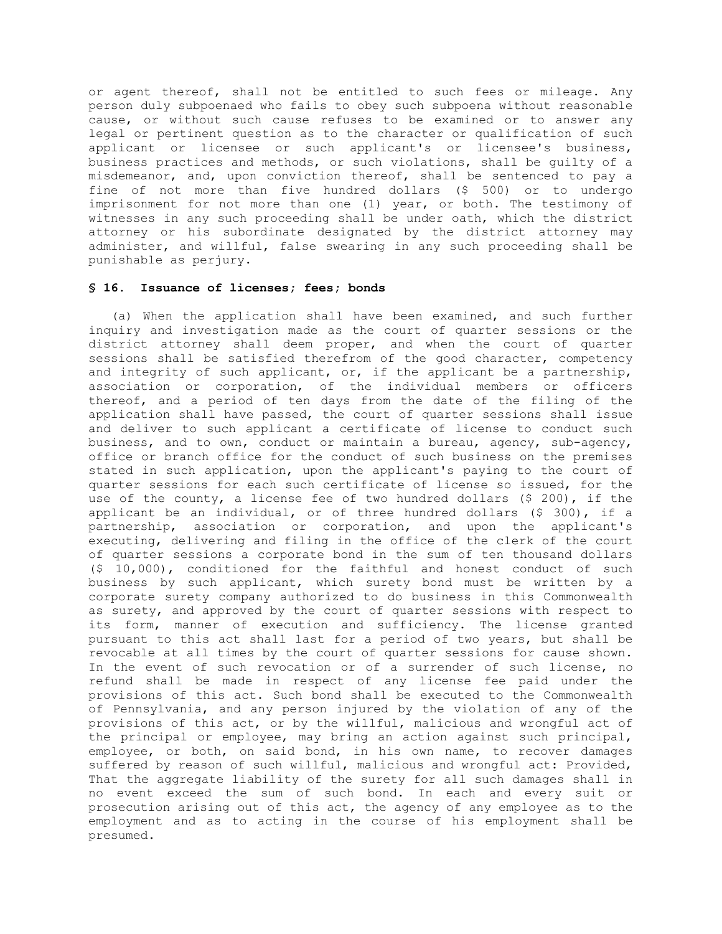or agent thereof, shall not be entitled to such fees or mileage. Any person duly subpoenaed who fails to obey such subpoena without reasonable cause, or without such cause refuses to be examined or to answer any legal or pertinent question as to the character or qualification of such applicant or licensee or such applicant's or licensee's business, business practices and methods, or such violations, shall be guilty of a misdemeanor, and, upon conviction thereof, shall be sentenced to pay a fine of not more than five hundred dollars (\$ 500) or to undergo imprisonment for not more than one (1) year, or both. The testimony of witnesses in any such proceeding shall be under oath, which the district attorney or his subordinate designated by the district attorney may administer, and willful, false swearing in any such proceeding shall be punishable as perjury.

#### **§ 16. Issuance of licenses; fees; bonds**

 (a) When the application shall have been examined, and such further inquiry and investigation made as the court of quarter sessions or the district attorney shall deem proper, and when the court of quarter sessions shall be satisfied therefrom of the good character, competency and integrity of such applicant, or, if the applicant be a partnership, association or corporation, of the individual members or officers thereof, and a period of ten days from the date of the filing of the application shall have passed, the court of quarter sessions shall issue and deliver to such applicant a certificate of license to conduct such business, and to own, conduct or maintain a bureau, agency, sub-agency, office or branch office for the conduct of such business on the premises stated in such application, upon the applicant's paying to the court of quarter sessions for each such certificate of license so issued, for the use of the county, a license fee of two hundred dollars (\$ 200), if the applicant be an individual, or of three hundred dollars (\$ 300), if a partnership, association or corporation, and upon the applicant's executing, delivering and filing in the office of the clerk of the court of quarter sessions a corporate bond in the sum of ten thousand dollars (\$ 10,000), conditioned for the faithful and honest conduct of such business by such applicant, which surety bond must be written by a corporate surety company authorized to do business in this Commonwealth as surety, and approved by the court of quarter sessions with respect to its form, manner of execution and sufficiency. The license granted pursuant to this act shall last for a period of two years, but shall be revocable at all times by the court of quarter sessions for cause shown. In the event of such revocation or of a surrender of such license, no refund shall be made in respect of any license fee paid under the provisions of this act. Such bond shall be executed to the Commonwealth of Pennsylvania, and any person injured by the violation of any of the provisions of this act, or by the willful, malicious and wrongful act of the principal or employee, may bring an action against such principal, employee, or both, on said bond, in his own name, to recover damages suffered by reason of such willful, malicious and wrongful act: Provided, That the aggregate liability of the surety for all such damages shall in no event exceed the sum of such bond. In each and every suit or prosecution arising out of this act, the agency of any employee as to the employment and as to acting in the course of his employment shall be presumed.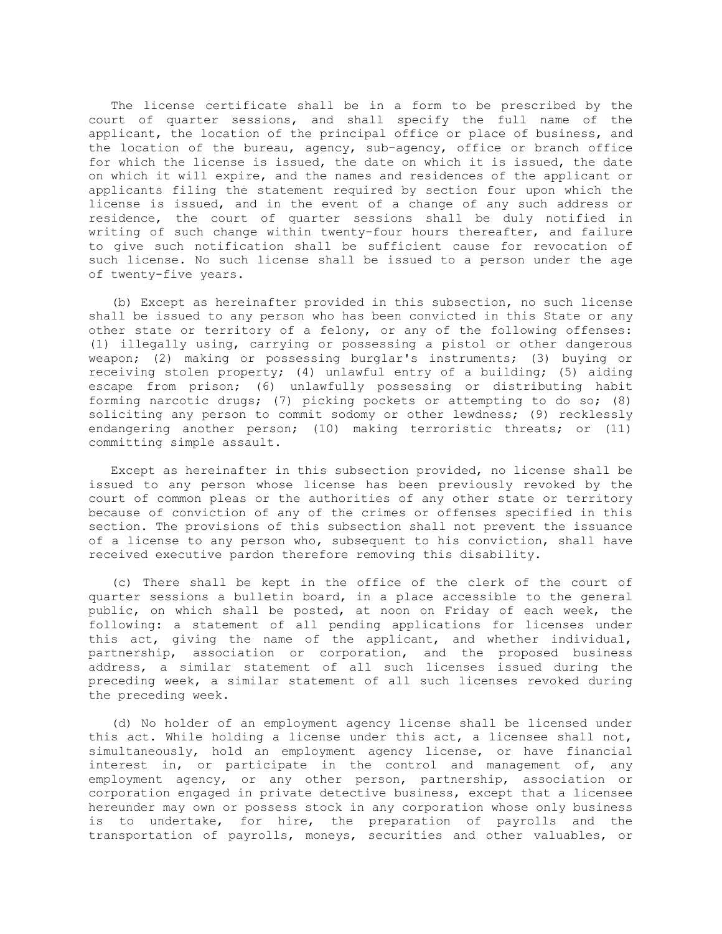The license certificate shall be in a form to be prescribed by the court of quarter sessions, and shall specify the full name of the applicant, the location of the principal office or place of business, and the location of the bureau, agency, sub-agency, office or branch office for which the license is issued, the date on which it is issued, the date on which it will expire, and the names and residences of the applicant or applicants filing the statement required by section four upon which the license is issued, and in the event of a change of any such address or residence, the court of quarter sessions shall be duly notified in writing of such change within twenty-four hours thereafter, and failure to give such notification shall be sufficient cause for revocation of such license. No such license shall be issued to a person under the age of twenty-five years.

 (b) Except as hereinafter provided in this subsection, no such license shall be issued to any person who has been convicted in this State or any other state or territory of a felony, or any of the following offenses: (1) illegally using, carrying or possessing a pistol or other dangerous weapon; (2) making or possessing burglar's instruments; (3) buying or receiving stolen property; (4) unlawful entry of a building; (5) aiding escape from prison; (6) unlawfully possessing or distributing habit forming narcotic drugs; (7) picking pockets or attempting to do so; (8) soliciting any person to commit sodomy or other lewdness; (9) recklessly endangering another person; (10) making terroristic threats; or (11) committing simple assault.

 Except as hereinafter in this subsection provided, no license shall be issued to any person whose license has been previously revoked by the court of common pleas or the authorities of any other state or territory because of conviction of any of the crimes or offenses specified in this section. The provisions of this subsection shall not prevent the issuance of a license to any person who, subsequent to his conviction, shall have received executive pardon therefore removing this disability.

 (c) There shall be kept in the office of the clerk of the court of quarter sessions a bulletin board, in a place accessible to the general public, on which shall be posted, at noon on Friday of each week, the following: a statement of all pending applications for licenses under this act, giving the name of the applicant, and whether individual, partnership, association or corporation, and the proposed business address, a similar statement of all such licenses issued during the preceding week, a similar statement of all such licenses revoked during the preceding week.

 (d) No holder of an employment agency license shall be licensed under this act. While holding a license under this act, a licensee shall not, simultaneously, hold an employment agency license, or have financial interest in, or participate in the control and management of, any employment agency, or any other person, partnership, association or corporation engaged in private detective business, except that a licensee hereunder may own or possess stock in any corporation whose only business is to undertake, for hire, the preparation of payrolls and the transportation of payrolls, moneys, securities and other valuables, or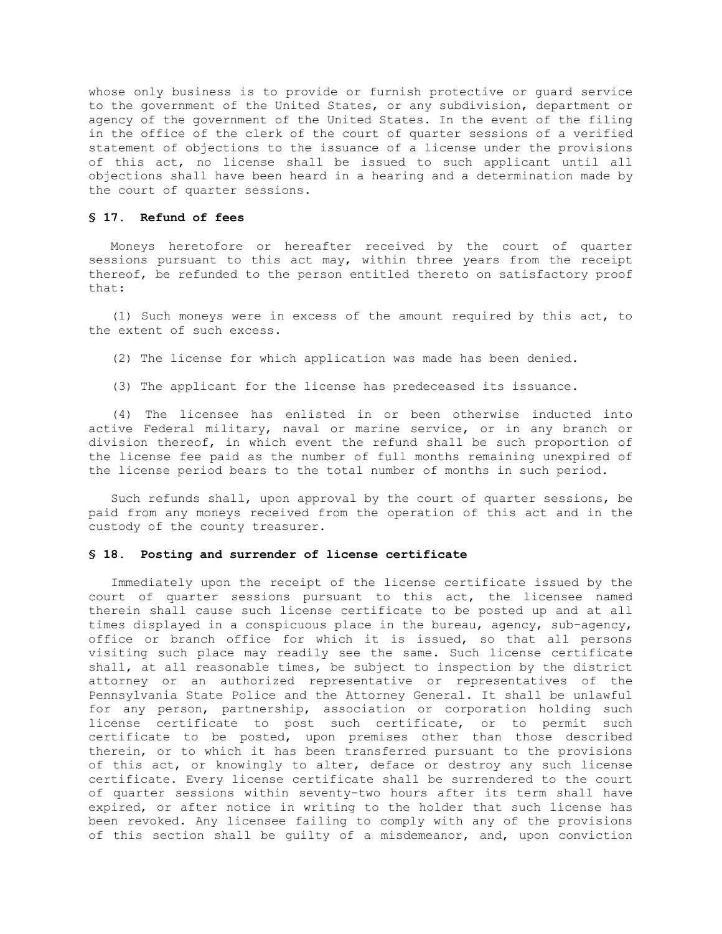whose only business is to provide or furnish protective or guard service to the government of the United States, or any subdivision, department or agency of the government of the United States. In the event of the filing in the office of the clerk of the court of quarter sessions of a verified statement of objections to the issuance of a license under the provisions of this act, no license shall be issued to such applicant until all objections shall have been heard in a hearing and a determination made by the court of quarter sessions.

### **§ 17. Refund of fees**

 Moneys heretofore or hereafter received by the court of quarter sessions pursuant to this act may, within three years from the receipt thereof, be refunded to the person entitled thereto on satisfactory proof that:

 (1) Such moneys were in excess of the amount required by this act, to the extent of such excess.

- (2) The license for which application was made has been denied.
- (3) The applicant for the license has predeceased its issuance.

 (4) The licensee has enlisted in or been otherwise inducted into active Federal military, naval or marine service, or in any branch or division thereof, in which event the refund shall be such proportion of the license fee paid as the number of full months remaining unexpired of the license period bears to the total number of months in such period.

 Such refunds shall, upon approval by the court of quarter sessions, be paid from any moneys received from the operation of this act and in the custody of the county treasurer.

## **§ 18. Posting and surrender of license certificate**

 Immediately upon the receipt of the license certificate issued by the court of quarter sessions pursuant to this act, the licensee named therein shall cause such license certificate to be posted up and at all times displayed in a conspicuous place in the bureau, agency, sub-agency, office or branch office for which it is issued, so that all persons visiting such place may readily see the same. Such license certificate shall, at all reasonable times, be subject to inspection by the district attorney or an authorized representative or representatives of the Pennsylvania State Police and the Attorney General. It shall be unlawful for any person, partnership, association or corporation holding such license certificate to post such certificate, or to permit such certificate to be posted, upon premises other than those described therein, or to which it has been transferred pursuant to the provisions of this act, or knowingly to alter, deface or destroy any such license certificate. Every license certificate shall be surrendered to the court of quarter sessions within seventy-two hours after its term shall have expired, or after notice in writing to the holder that such license has been revoked. Any licensee failing to comply with any of the provisions of this section shall be guilty of a misdemeanor, and, upon conviction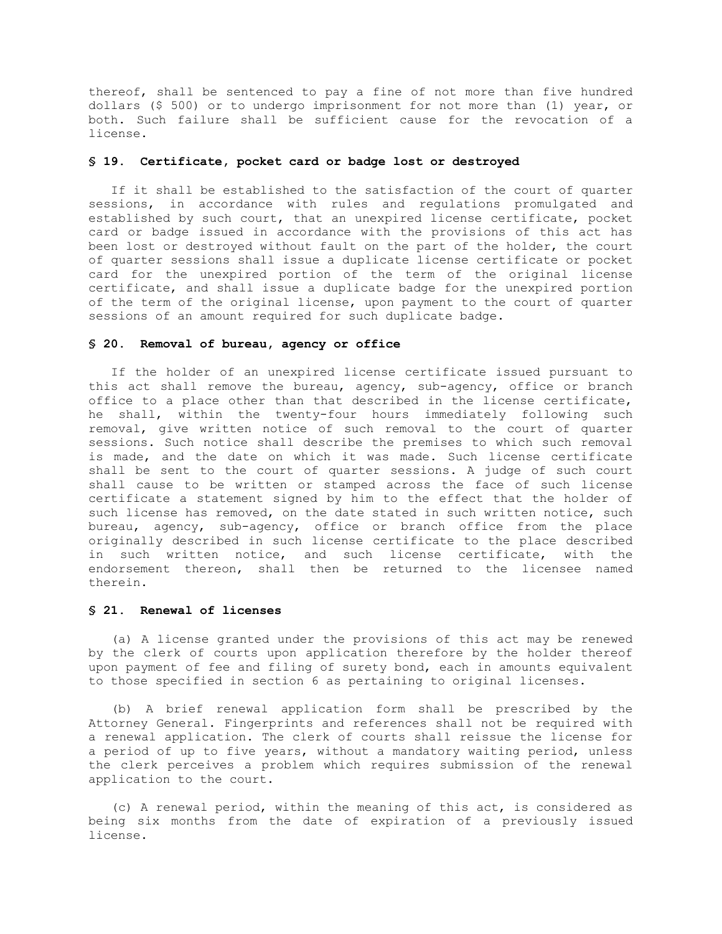thereof, shall be sentenced to pay a fine of not more than five hundred dollars (\$ 500) or to undergo imprisonment for not more than (1) year, or both. Such failure shall be sufficient cause for the revocation of a license.

## **§ 19. Certificate, pocket card or badge lost or destroyed**

 If it shall be established to the satisfaction of the court of quarter sessions, in accordance with rules and regulations promulgated and established by such court, that an unexpired license certificate, pocket card or badge issued in accordance with the provisions of this act has been lost or destroyed without fault on the part of the holder, the court of quarter sessions shall issue a duplicate license certificate or pocket card for the unexpired portion of the term of the original license certificate, and shall issue a duplicate badge for the unexpired portion of the term of the original license, upon payment to the court of quarter sessions of an amount required for such duplicate badge.

# **§ 20. Removal of bureau, agency or office**

 If the holder of an unexpired license certificate issued pursuant to this act shall remove the bureau, agency, sub-agency, office or branch office to a place other than that described in the license certificate, he shall, within the twenty-four hours immediately following such removal, give written notice of such removal to the court of quarter sessions. Such notice shall describe the premises to which such removal is made, and the date on which it was made. Such license certificate shall be sent to the court of quarter sessions. A judge of such court shall cause to be written or stamped across the face of such license certificate a statement signed by him to the effect that the holder of such license has removed, on the date stated in such written notice, such bureau, agency, sub-agency, office or branch office from the place originally described in such license certificate to the place described in such written notice, and such license certificate, with the endorsement thereon, shall then be returned to the licensee named therein.

#### **§ 21. Renewal of licenses**

 (a) A license granted under the provisions of this act may be renewed by the clerk of courts upon application therefore by the holder thereof upon payment of fee and filing of surety bond, each in amounts equivalent to those specified in section 6 as pertaining to original licenses.

 (b) A brief renewal application form shall be prescribed by the Attorney General. Fingerprints and references shall not be required with a renewal application. The clerk of courts shall reissue the license for a period of up to five years, without a mandatory waiting period, unless the clerk perceives a problem which requires submission of the renewal application to the court.

 (c) A renewal period, within the meaning of this act, is considered as being six months from the date of expiration of a previously issued license.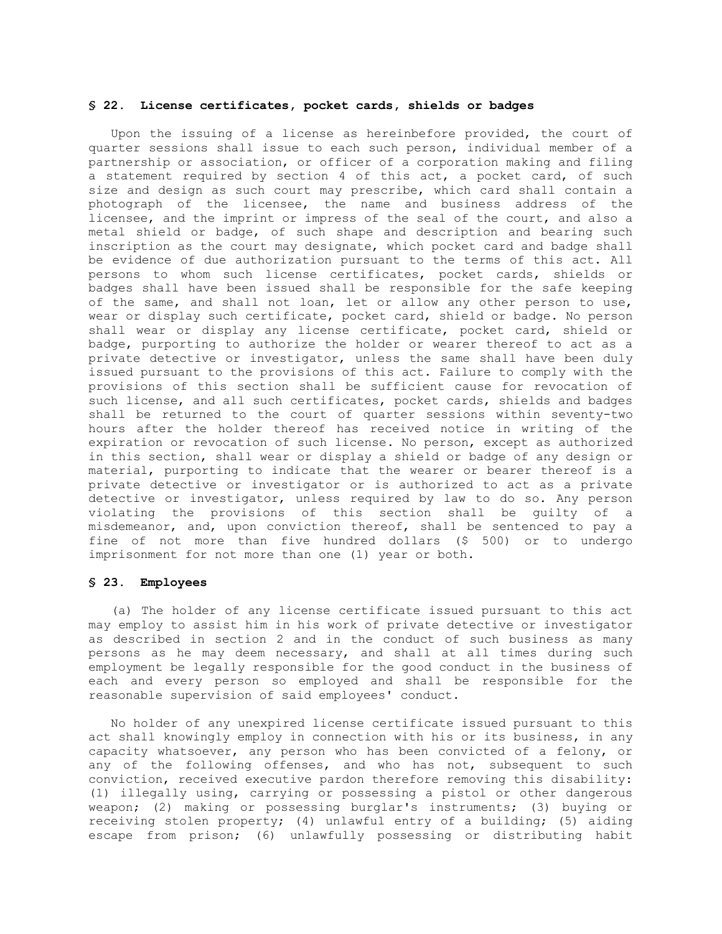# **§ 22. License certificates, pocket cards, shields or badges**

 Upon the issuing of a license as hereinbefore provided, the court of quarter sessions shall issue to each such person, individual member of a partnership or association, or officer of a corporation making and filing a statement required by section 4 of this act, a pocket card, of such size and design as such court may prescribe, which card shall contain a photograph of the licensee, the name and business address of the licensee, and the imprint or impress of the seal of the court, and also a metal shield or badge, of such shape and description and bearing such inscription as the court may designate, which pocket card and badge shall be evidence of due authorization pursuant to the terms of this act. All persons to whom such license certificates, pocket cards, shields or badges shall have been issued shall be responsible for the safe keeping of the same, and shall not loan, let or allow any other person to use, wear or display such certificate, pocket card, shield or badge. No person shall wear or display any license certificate, pocket card, shield or badge, purporting to authorize the holder or wearer thereof to act as a private detective or investigator, unless the same shall have been duly issued pursuant to the provisions of this act. Failure to comply with the provisions of this section shall be sufficient cause for revocation of such license, and all such certificates, pocket cards, shields and badges shall be returned to the court of quarter sessions within seventy-two hours after the holder thereof has received notice in writing of the expiration or revocation of such license. No person, except as authorized in this section, shall wear or display a shield or badge of any design or material, purporting to indicate that the wearer or bearer thereof is a private detective or investigator or is authorized to act as a private detective or investigator, unless required by law to do so. Any person violating the provisions of this section shall be guilty of a misdemeanor, and, upon conviction thereof, shall be sentenced to pay a fine of not more than five hundred dollars (\$ 500) or to undergo imprisonment for not more than one (1) year or both.

# **§ 23. Employees**

 (a) The holder of any license certificate issued pursuant to this act may employ to assist him in his work of private detective or investigator as described in section 2 and in the conduct of such business as many persons as he may deem necessary, and shall at all times during such employment be legally responsible for the good conduct in the business of each and every person so employed and shall be responsible for the reasonable supervision of said employees' conduct.

 No holder of any unexpired license certificate issued pursuant to this act shall knowingly employ in connection with his or its business, in any capacity whatsoever, any person who has been convicted of a felony, or any of the following offenses, and who has not, subsequent to such conviction, received executive pardon therefore removing this disability: (1) illegally using, carrying or possessing a pistol or other dangerous weapon; (2) making or possessing burglar's instruments; (3) buying or receiving stolen property; (4) unlawful entry of a building; (5) aiding escape from prison; (6) unlawfully possessing or distributing habit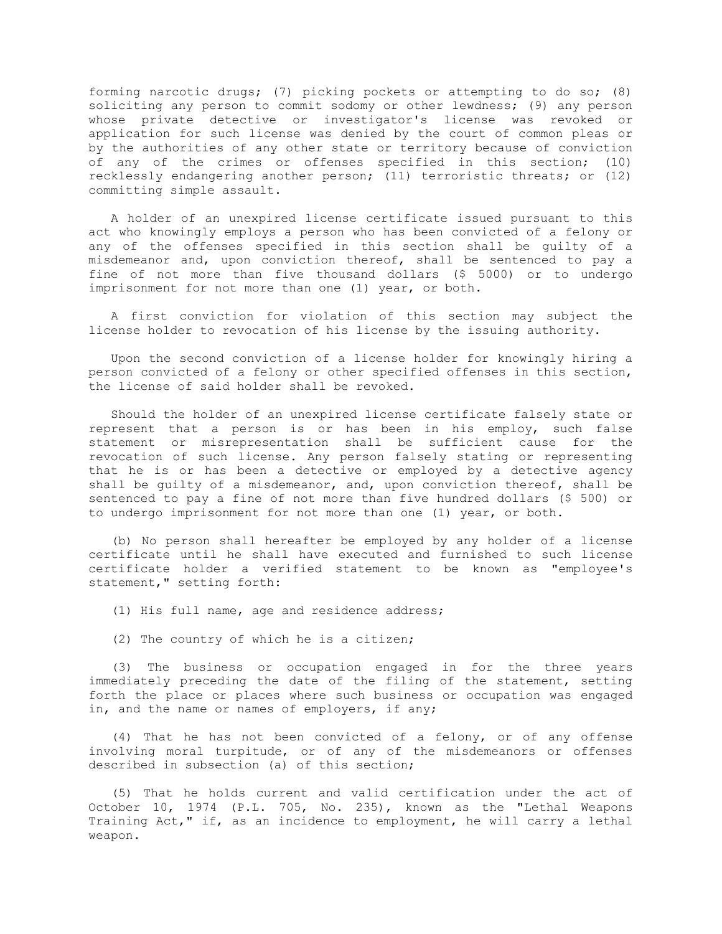forming narcotic drugs; (7) picking pockets or attempting to do so; (8) soliciting any person to commit sodomy or other lewdness; (9) any person whose private detective or investigator's license was revoked or application for such license was denied by the court of common pleas or by the authorities of any other state or territory because of conviction of any of the crimes or offenses specified in this section; (10) recklessly endangering another person; (11) terroristic threats; or (12) committing simple assault.

 A holder of an unexpired license certificate issued pursuant to this act who knowingly employs a person who has been convicted of a felony or any of the offenses specified in this section shall be guilty of a misdemeanor and, upon conviction thereof, shall be sentenced to pay a fine of not more than five thousand dollars (\$ 5000) or to undergo imprisonment for not more than one (1) year, or both.

 A first conviction for violation of this section may subject the license holder to revocation of his license by the issuing authority.

 Upon the second conviction of a license holder for knowingly hiring a person convicted of a felony or other specified offenses in this section, the license of said holder shall be revoked.

 Should the holder of an unexpired license certificate falsely state or represent that a person is or has been in his employ, such false statement or misrepresentation shall be sufficient cause for the revocation of such license. Any person falsely stating or representing that he is or has been a detective or employed by a detective agency shall be guilty of a misdemeanor, and, upon conviction thereof, shall be sentenced to pay a fine of not more than five hundred dollars (\$ 500) or to undergo imprisonment for not more than one (1) year, or both.

 (b) No person shall hereafter be employed by any holder of a license certificate until he shall have executed and furnished to such license certificate holder a verified statement to be known as "employee's statement," setting forth:

(1) His full name, age and residence address;

(2) The country of which he is a citizen;

 (3) The business or occupation engaged in for the three years immediately preceding the date of the filing of the statement, setting forth the place or places where such business or occupation was engaged in, and the name or names of employers, if any;

 (4) That he has not been convicted of a felony, or of any offense involving moral turpitude, or of any of the misdemeanors or offenses described in subsection (a) of this section;

 (5) That he holds current and valid certification under the act of October 10, 1974 (P.L. 705, No. 235), known as the "Lethal Weapons Training Act," if, as an incidence to employment, he will carry a lethal weapon.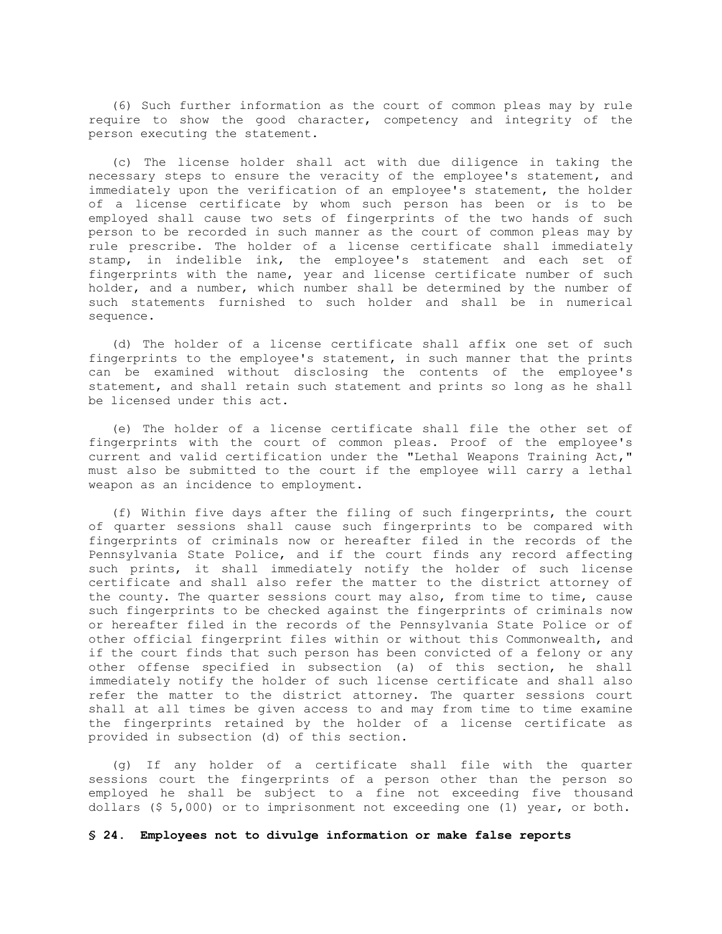(6) Such further information as the court of common pleas may by rule require to show the good character, competency and integrity of the person executing the statement.

 (c) The license holder shall act with due diligence in taking the necessary steps to ensure the veracity of the employee's statement, and immediately upon the verification of an employee's statement, the holder of a license certificate by whom such person has been or is to be employed shall cause two sets of fingerprints of the two hands of such person to be recorded in such manner as the court of common pleas may by rule prescribe. The holder of a license certificate shall immediately stamp, in indelible ink, the employee's statement and each set of fingerprints with the name, year and license certificate number of such holder, and a number, which number shall be determined by the number of such statements furnished to such holder and shall be in numerical sequence.

 (d) The holder of a license certificate shall affix one set of such fingerprints to the employee's statement, in such manner that the prints can be examined without disclosing the contents of the employee's statement, and shall retain such statement and prints so long as he shall be licensed under this act.

 (e) The holder of a license certificate shall file the other set of fingerprints with the court of common pleas. Proof of the employee's current and valid certification under the "Lethal Weapons Training Act," must also be submitted to the court if the employee will carry a lethal weapon as an incidence to employment.

 (f) Within five days after the filing of such fingerprints, the court of quarter sessions shall cause such fingerprints to be compared with fingerprints of criminals now or hereafter filed in the records of the Pennsylvania State Police, and if the court finds any record affecting such prints, it shall immediately notify the holder of such license certificate and shall also refer the matter to the district attorney of the county. The quarter sessions court may also, from time to time, cause such fingerprints to be checked against the fingerprints of criminals now or hereafter filed in the records of the Pennsylvania State Police or of other official fingerprint files within or without this Commonwealth, and if the court finds that such person has been convicted of a felony or any other offense specified in subsection (a) of this section, he shall immediately notify the holder of such license certificate and shall also refer the matter to the district attorney. The quarter sessions court shall at all times be given access to and may from time to time examine the fingerprints retained by the holder of a license certificate as provided in subsection (d) of this section.

 (g) If any holder of a certificate shall file with the quarter sessions court the fingerprints of a person other than the person so employed he shall be subject to a fine not exceeding five thousand dollars (\$ 5,000) or to imprisonment not exceeding one (1) year, or both.

**§ 24. Employees not to divulge information or make false reports**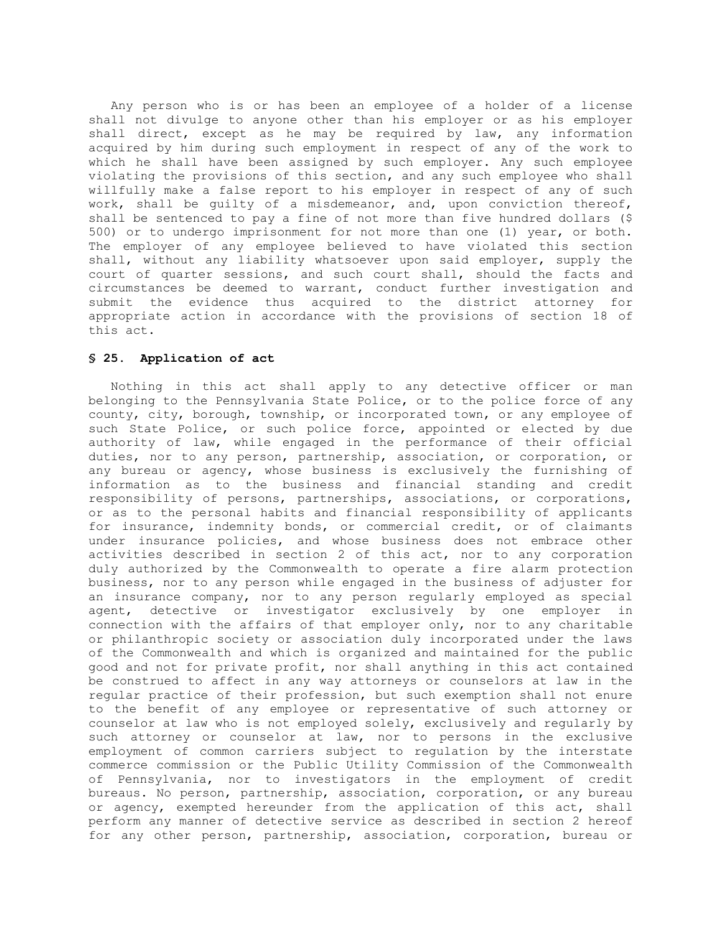Any person who is or has been an employee of a holder of a license shall not divulge to anyone other than his employer or as his employer shall direct, except as he may be required by law, any information acquired by him during such employment in respect of any of the work to which he shall have been assigned by such employer. Any such employee violating the provisions of this section, and any such employee who shall willfully make a false report to his employer in respect of any of such work, shall be guilty of a misdemeanor, and, upon conviction thereof, shall be sentenced to pay a fine of not more than five hundred dollars (\$ 500) or to undergo imprisonment for not more than one (1) year, or both. The employer of any employee believed to have violated this section shall, without any liability whatsoever upon said employer, supply the court of quarter sessions, and such court shall, should the facts and circumstances be deemed to warrant, conduct further investigation and submit the evidence thus acquired to the district attorney for appropriate action in accordance with the provisions of section 18 of this act.

# **§ 25. Application of act**

 Nothing in this act shall apply to any detective officer or man belonging to the Pennsylvania State Police, or to the police force of any county, city, borough, township, or incorporated town, or any employee of such State Police, or such police force, appointed or elected by due authority of law, while engaged in the performance of their official duties, nor to any person, partnership, association, or corporation, or any bureau or agency, whose business is exclusively the furnishing of information as to the business and financial standing and credit responsibility of persons, partnerships, associations, or corporations, or as to the personal habits and financial responsibility of applicants for insurance, indemnity bonds, or commercial credit, or of claimants under insurance policies, and whose business does not embrace other activities described in section 2 of this act, nor to any corporation duly authorized by the Commonwealth to operate a fire alarm protection business, nor to any person while engaged in the business of adjuster for an insurance company, nor to any person regularly employed as special agent, detective or investigator exclusively by one employer in connection with the affairs of that employer only, nor to any charitable or philanthropic society or association duly incorporated under the laws of the Commonwealth and which is organized and maintained for the public good and not for private profit, nor shall anything in this act contained be construed to affect in any way attorneys or counselors at law in the regular practice of their profession, but such exemption shall not enure to the benefit of any employee or representative of such attorney or counselor at law who is not employed solely, exclusively and regularly by such attorney or counselor at law, nor to persons in the exclusive employment of common carriers subject to regulation by the interstate commerce commission or the Public Utility Commission of the Commonwealth of Pennsylvania, nor to investigators in the employment of credit bureaus. No person, partnership, association, corporation, or any bureau or agency, exempted hereunder from the application of this act, shall perform any manner of detective service as described in section 2 hereof for any other person, partnership, association, corporation, bureau or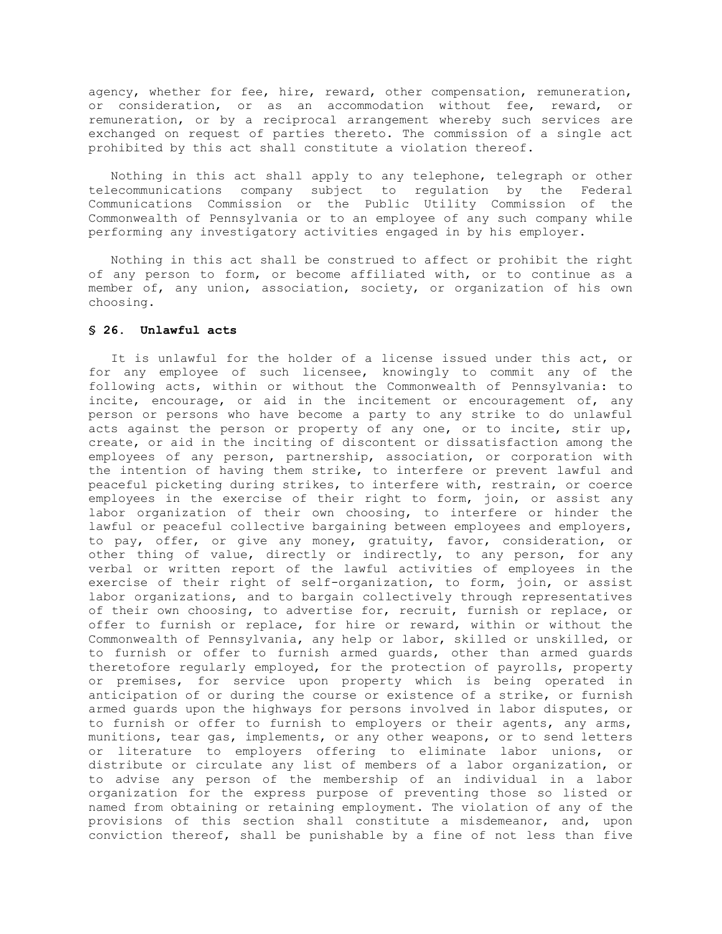agency, whether for fee, hire, reward, other compensation, remuneration, or consideration, or as an accommodation without fee, reward, or remuneration, or by a reciprocal arrangement whereby such services are exchanged on request of parties thereto. The commission of a single act prohibited by this act shall constitute a violation thereof.

 Nothing in this act shall apply to any telephone, telegraph or other telecommunications company subject to regulation by the Federal Communications Commission or the Public Utility Commission of the Commonwealth of Pennsylvania or to an employee of any such company while performing any investigatory activities engaged in by his employer.

 Nothing in this act shall be construed to affect or prohibit the right of any person to form, or become affiliated with, or to continue as a member of, any union, association, society, or organization of his own choosing.

# **§ 26. Unlawful acts**

 It is unlawful for the holder of a license issued under this act, or for any employee of such licensee, knowingly to commit any of the following acts, within or without the Commonwealth of Pennsylvania: to incite, encourage, or aid in the incitement or encouragement of, any person or persons who have become a party to any strike to do unlawful acts against the person or property of any one, or to incite, stir up, create, or aid in the inciting of discontent or dissatisfaction among the employees of any person, partnership, association, or corporation with the intention of having them strike, to interfere or prevent lawful and peaceful picketing during strikes, to interfere with, restrain, or coerce employees in the exercise of their right to form, join, or assist any labor organization of their own choosing, to interfere or hinder the lawful or peaceful collective bargaining between employees and employers, to pay, offer, or give any money, gratuity, favor, consideration, or other thing of value, directly or indirectly, to any person, for any verbal or written report of the lawful activities of employees in the exercise of their right of self-organization, to form, join, or assist labor organizations, and to bargain collectively through representatives of their own choosing, to advertise for, recruit, furnish or replace, or offer to furnish or replace, for hire or reward, within or without the Commonwealth of Pennsylvania, any help or labor, skilled or unskilled, or to furnish or offer to furnish armed guards, other than armed guards theretofore regularly employed, for the protection of payrolls, property or premises, for service upon property which is being operated in anticipation of or during the course or existence of a strike, or furnish armed guards upon the highways for persons involved in labor disputes, or to furnish or offer to furnish to employers or their agents, any arms, munitions, tear gas, implements, or any other weapons, or to send letters or literature to employers offering to eliminate labor unions, or distribute or circulate any list of members of a labor organization, or to advise any person of the membership of an individual in a labor organization for the express purpose of preventing those so listed or named from obtaining or retaining employment. The violation of any of the provisions of this section shall constitute a misdemeanor, and, upon conviction thereof, shall be punishable by a fine of not less than five